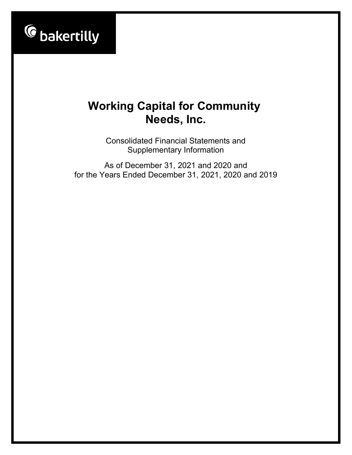

Consolidated Financial Statements and Supplementary Information

As of December 31, 2021 and 2020 and for the Years Ended December 31, 2021, 2020 and 2019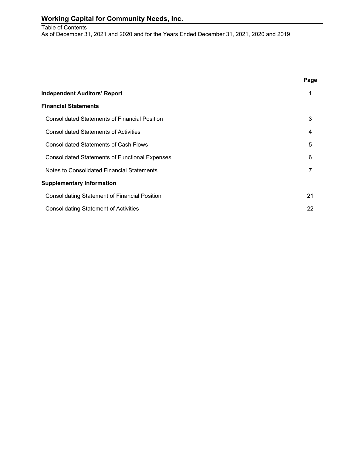#### Table of Contents As of December 31, 2021 and 2020 and for the Years Ended December 31, 2021, 2020 and 2019

|                                                       | Page |
|-------------------------------------------------------|------|
| <b>Independent Auditors' Report</b>                   |      |
| <b>Financial Statements</b>                           |      |
| <b>Consolidated Statements of Financial Position</b>  | 3    |
| <b>Consolidated Statements of Activities</b>          | 4    |
| <b>Consolidated Statements of Cash Flows</b>          | 5    |
| <b>Consolidated Statements of Functional Expenses</b> | 6    |
| Notes to Consolidated Financial Statements            |      |
| <b>Supplementary Information</b>                      |      |
| <b>Consolidating Statement of Financial Position</b>  | 21   |
| <b>Consolidating Statement of Activities</b>          | 22   |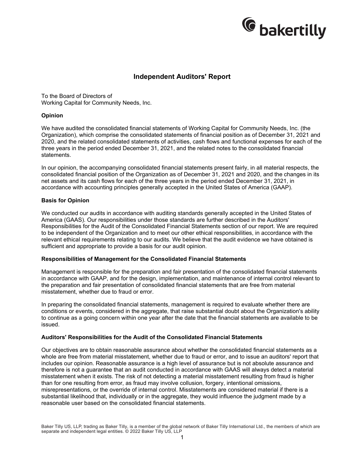

### **Independent Auditors' Report**

To the Board of Directors of Working Capital for Community Needs, Inc.

#### **Opinion**

We have audited the consolidated financial statements of Working Capital for Community Needs, Inc. (the Organization), which comprise the consolidated statements of financial position as of December 31, 2021 and 2020, and the related consolidated statements of activities, cash flows and functional expenses for each of the three years in the period ended December 31, 2021, and the related notes to the consolidated financial statements.

In our opinion, the accompanying consolidated financial statements present fairly, in all material respects, the consolidated financial position of the Organization as of December 31, 2021 and 2020, and the changes in its net assets and its cash flows for each of the three years in the period ended December 31, 2021, in accordance with accounting principles generally accepted in the United States of America (GAAP).

#### **Basis for Opinion**

We conducted our audits in accordance with auditing standards generally accepted in the United States of America (GAAS). Our responsibilities under those standards are further described in the Auditors' Responsibilities for the Audit of the Consolidated Financial Statements section of our report. We are required to be independent of the Organization and to meet our other ethical responsibilities, in accordance with the relevant ethical requirements relating to our audits. We believe that the audit evidence we have obtained is sufficient and appropriate to provide a basis for our audit opinion.

#### **Responsibilities of Management for the Consolidated Financial Statements**

Management is responsible for the preparation and fair presentation of the consolidated financial statements in accordance with GAAP, and for the design, implementation, and maintenance of internal control relevant to the preparation and fair presentation of consolidated financial statements that are free from material misstatement, whether due to fraud or error.

In preparing the consolidated financial statements, management is required to evaluate whether there are conditions or events, considered in the aggregate, that raise substantial doubt about the Organization's ability to continue as a going concern within one year after the date that the financial statements are available to be issued.

#### **Auditors' Responsibilities for the Audit of the Consolidated Financial Statements**

Our objectives are to obtain reasonable assurance about whether the consolidated financial statements as a whole are free from material misstatement, whether due to fraud or error, and to issue an auditors' report that includes our opinion. Reasonable assurance is a high level of assurance but is not absolute assurance and therefore is not a guarantee that an audit conducted in accordance with GAAS will always detect a material misstatement when it exists. The risk of not detecting a material misstatement resulting from fraud is higher than for one resulting from error, as fraud may involve collusion, forgery, intentional omissions, misrepresentations, or the override of internal control. Misstatements are considered material if there is a substantial likelihood that, individually or in the aggregate, they would influence the judgment made by a reasonable user based on the consolidated financial statements.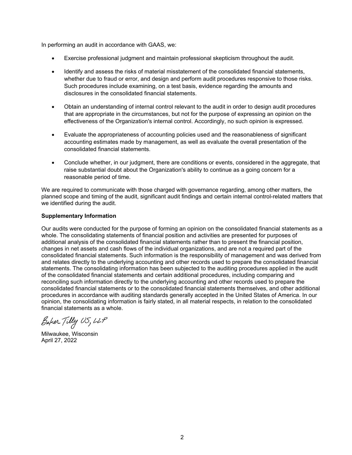In performing an audit in accordance with GAAS, we:

- Exercise professional judgment and maintain professional skepticism throughout the audit.
- Identify and assess the risks of material misstatement of the consolidated financial statements, whether due to fraud or error, and design and perform audit procedures responsive to those risks. Such procedures include examining, on a test basis, evidence regarding the amounts and disclosures in the consolidated financial statements.
- Obtain an understanding of internal control relevant to the audit in order to design audit procedures that are appropriate in the circumstances, but not for the purpose of expressing an opinion on the effectiveness of the Organization's internal control. Accordingly, no such opinion is expressed.
- Evaluate the appropriateness of accounting policies used and the reasonableness of significant accounting estimates made by management, as well as evaluate the overall presentation of the consolidated financial statements.
- Conclude whether, in our judgment, there are conditions or events, considered in the aggregate, that raise substantial doubt about the Organization's ability to continue as a going concern for a reasonable period of time.

We are required to communicate with those charged with governance regarding, among other matters, the planned scope and timing of the audit, significant audit findings and certain internal control-related matters that we identified during the audit.

#### **Supplementary Information**

Our audits were conducted for the purpose of forming an opinion on the consolidated financial statements as a whole. The consolidating statements of financial position and activities are presented for purposes of additional analysis of the consolidated financial statements rather than to present the financial position, changes in net assets and cash flows of the individual organizations, and are not a required part of the consolidated financial statements. Such information is the responsibility of management and was derived from and relates directly to the underlying accounting and other records used to prepare the consolidated financial statements. The consolidating information has been subjected to the auditing procedures applied in the audit of the consolidated financial statements and certain additional procedures, including comparing and reconciling such information directly to the underlying accounting and other records used to prepare the consolidated financial statements or to the consolidated financial statements themselves, and other additional procedures in accordance with auditing standards generally accepted in the United States of America. In our opinion, the consolidating information is fairly stated, in all material respects, in relation to the consolidated financial statements as a whole.

Baker Tilly US, LLP

Milwaukee, Wisconsin April 27, 2022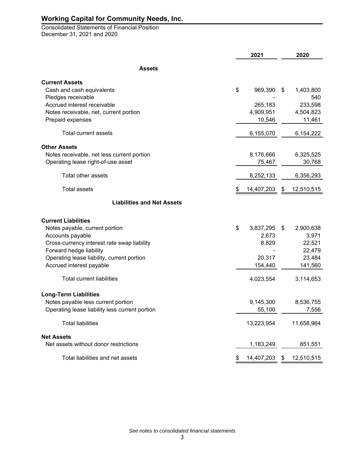Consolidated Statements of Financial Position December 31, 2021 and 2020

|                                                | 2021 |            | 2020             |  |
|------------------------------------------------|------|------------|------------------|--|
| <b>Assets</b>                                  |      |            |                  |  |
| <b>Current Assets</b>                          |      |            |                  |  |
| Cash and cash equivalents                      | \$   | 969,390    | \$<br>1,403,800  |  |
| Pledges receivable                             |      |            | 540              |  |
| Accrued interest receivable                    |      | 265,183    | 233,598          |  |
| Notes receivable, net, current portion         |      | 4,909,951  | 4,504,823        |  |
| Prepaid expenses                               |      | 10,546     | 11,461           |  |
| Total current assets                           |      | 6,155,070  | 6,154,222        |  |
| <b>Other Assets</b>                            |      |            |                  |  |
| Notes receivable, net less current portion     |      | 8,176,666  | 6,325,525        |  |
| Operating lease right-of-use asset             |      | 75,467     | 30,768           |  |
| Total other assets                             |      | 8,252,133  | 6,356,293        |  |
| <b>Total assets</b>                            | \$   | 14,407,203 | \$<br>12,510,515 |  |
| <b>Liabilities and Net Assets</b>              |      |            |                  |  |
| <b>Current Liabilities</b>                     |      |            |                  |  |
| Notes payable, current portion                 | \$   | 3,837,295  | \$<br>2,900,638  |  |
| Accounts payable                               |      | 2,673      | 3,971            |  |
| Cross-currency interest rate swap liability    |      | 8,829      | 22,521           |  |
| Forward hedge liability                        |      |            | 22,479           |  |
| Operating lease liability, current portion     |      | 20,317     | 23,484           |  |
| Accrued interest payable                       |      | 154,440    | 141,560          |  |
| <b>Total current liabilities</b>               |      | 4,023,554  | 3,114,653        |  |
| <b>Long-Term Liabilities</b>                   |      |            |                  |  |
| Notes payable less current portion             |      | 9,145,300  | 8,536,755        |  |
| Operating lease liability less current portion |      | 55,100     | 7,556            |  |
| <b>Total liabilities</b>                       |      | 13,223,954 | 11,658,964       |  |
| <b>Net Assets</b>                              |      |            |                  |  |
| Net assets without donor restrictions          |      | 1,183,249  | 851,551          |  |
| Total liabilities and net assets               | S.   | 14,407,203 | \$12,510,515     |  |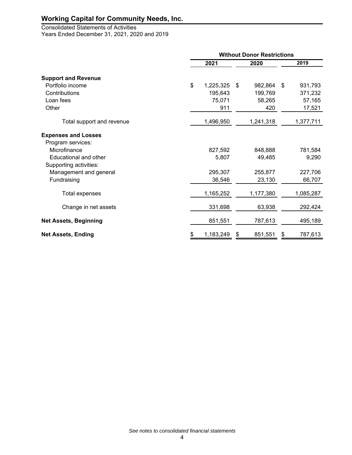## Consolidated Statements of Activities

Years Ended December 31, 2021, 2020 and 2019

|                              | <b>Without Donor Restrictions</b> |    |           |    |           |  |  |
|------------------------------|-----------------------------------|----|-----------|----|-----------|--|--|
|                              | 2021                              |    | 2020      |    | 2019      |  |  |
| <b>Support and Revenue</b>   |                                   |    |           |    |           |  |  |
| Portfolio income             | \$<br>1,225,325                   | \$ | 982,864   | \$ | 931,793   |  |  |
| Contributions                | 195,643                           |    | 199,769   |    | 371,232   |  |  |
| Loan fees                    | 75,071                            |    | 58,265    |    | 57,165    |  |  |
| Other                        | 911                               |    | 420       |    | 17,521    |  |  |
| Total support and revenue    | 1,496,950                         |    | 1,241,318 |    | 1,377,711 |  |  |
| <b>Expenses and Losses</b>   |                                   |    |           |    |           |  |  |
| Program services:            |                                   |    |           |    |           |  |  |
| Microfinance                 | 827,592                           |    | 848,888   |    | 781,584   |  |  |
| Educational and other        | 5,807                             |    | 49,485    |    | 9,290     |  |  |
| Supporting activities:       |                                   |    |           |    |           |  |  |
| Management and general       | 295,307                           |    | 255,877   |    | 227,706   |  |  |
| Fundraising                  | 36,546                            |    | 23,130    |    | 66,707    |  |  |
| Total expenses               | 1,165,252                         |    | 1,177,380 |    | 1,085,287 |  |  |
| Change in net assets         | 331,698                           |    | 63,938    |    | 292,424   |  |  |
| <b>Net Assets, Beginning</b> | 851,551                           |    | 787,613   |    | 495,189   |  |  |
| <b>Net Assets, Ending</b>    | \$<br>1,183,249                   | \$ | 851,551   | \$ | 787,613   |  |  |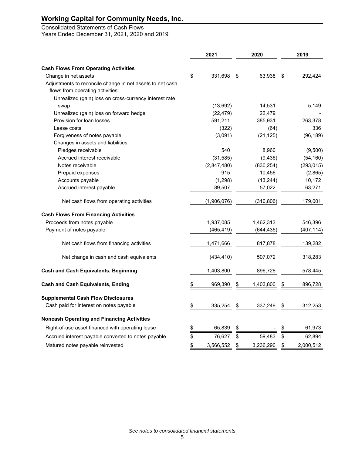## Consolidated Statements of Cash Flows

Years Ended December 31, 2021, 2020 and 2019

|                                                           | 2021            | 2020            | 2019            |
|-----------------------------------------------------------|-----------------|-----------------|-----------------|
| <b>Cash Flows From Operating Activities</b>               |                 |                 |                 |
| Change in net assets                                      | \$<br>331,698   | \$<br>63,938    | \$<br>292,424   |
| Adjustments to reconcile change in net assets to net cash |                 |                 |                 |
| flows from operating activities:                          |                 |                 |                 |
| Unrealized (gain) loss on cross-currency interest rate    |                 |                 |                 |
| swap                                                      | (13,692)        | 14,531          | 5,149           |
| Unrealized (gain) loss on forward hedge                   | (22, 479)       | 22,479          |                 |
| Provision for loan losses                                 | 591,211         | 385,931         | 263,378         |
| Lease costs                                               | (322)           | (64)            | 336             |
| Forgiveness of notes payable                              | (3,091)         | (21, 125)       | (96, 189)       |
| Changes in assets and liabilities:                        |                 |                 |                 |
| Pledges receivable                                        | 540             | 8,960           | (9,500)         |
| Accrued interest receivable                               | (31, 585)       | (9, 436)        | (54, 160)       |
| Notes receivable                                          | (2,847,480)     | (830, 254)      | (293, 015)      |
| Prepaid expenses                                          | 915             | 10,456          | (2,865)         |
| Accounts payable                                          | (1,298)         | (13, 244)       | 10,172          |
| Accrued interest payable                                  | 89,507          | 57,022          | 63,271          |
| Net cash flows from operating activities                  | (1,906,076)     | (310, 806)      | 179,001         |
| <b>Cash Flows From Financing Activities</b>               |                 |                 |                 |
| Proceeds from notes payable                               | 1,937,085       | 1,462,313       | 546,396         |
| Payment of notes payable                                  | (465, 419)      | (644, 435)      | (407, 114)      |
| Net cash flows from financing activities                  | 1,471,666       | 817,878         | 139,282         |
| Net change in cash and cash equivalents                   | (434, 410)      | 507,072         | 318,283         |
| <b>Cash and Cash Equivalents, Beginning</b>               | 1,403,800       | 896,728         | 578,445         |
| <b>Cash and Cash Equivalents, Ending</b>                  | \$<br>969,390   | \$<br>1,403,800 | \$<br>896,728   |
| <b>Supplemental Cash Flow Disclosures</b>                 |                 |                 |                 |
| Cash paid for interest on notes payable                   | \$<br>335,254   | \$<br>337,249   | \$<br>312,253   |
| <b>Noncash Operating and Financing Activities</b>         |                 |                 |                 |
| Right-of-use asset financed with operating lease          | \$<br>65,839    | \$              | \$<br>61,973    |
| Accrued interest payable converted to notes payable       | \$<br>76,627    | \$<br>59,483    | \$<br>62,894    |
| Matured notes payable reinvested                          | \$<br>3,566,552 | \$<br>3,236,290 | \$<br>2,000,512 |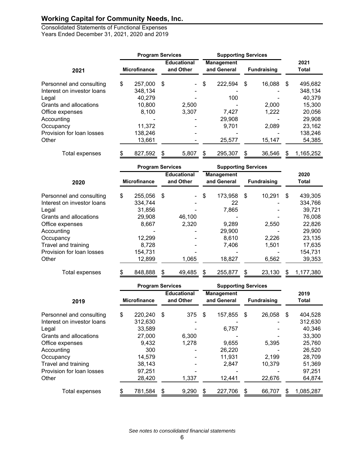Consolidated Statements of Functional Expenses Years Ended December 31, 2021, 2020 and 2019

|                            |                     | <b>Program Services</b> |     |                                 | <b>Supporting Services</b> |                                  |    |                    |     |               |
|----------------------------|---------------------|-------------------------|-----|---------------------------------|----------------------------|----------------------------------|----|--------------------|-----|---------------|
| 2021                       | <b>Microfinance</b> |                         |     | <b>Educational</b><br>and Other |                            | <b>Management</b><br>and General |    | <b>Fundraising</b> |     | 2021<br>Total |
| Personnel and consulting   | \$                  | 257,000                 | -\$ | $\sim$                          | \$                         | 222,594                          | \$ | 16,088             | \$  | 495,682       |
| Interest on investor loans |                     | 348.134                 |     |                                 |                            |                                  |    |                    |     | 348,134       |
| Legal                      |                     | 40,279                  |     |                                 |                            | 100                              |    |                    |     | 40,379        |
| Grants and allocations     |                     | 10,800                  |     | 2,500                           |                            |                                  |    | 2,000              |     | 15,300        |
| Office expenses            |                     | 8,100                   |     | 3,307                           |                            | 7,427                            |    | 1,222              |     | 20,056        |
| Accounting                 |                     |                         |     |                                 |                            | 29,908                           |    |                    |     | 29,908        |
| Occupancy                  |                     | 11,372                  |     |                                 |                            | 9,701                            |    | 2,089              |     | 23,162        |
| Provision for loan losses  |                     | 138,246                 |     |                                 |                            |                                  |    |                    |     | 138,246       |
| Other                      |                     | 13,661                  |     |                                 |                            | 25,577                           |    | 15,147             |     | 54,385        |
| Total expenses             | \$                  | 827,592                 | \$  | 5,807                           | S                          | 295,307                          | \$ | 36,546             | \$. | 1,165,252     |

|                            | <b>Program Services</b> |    |                                 | <b>Supporting Services</b> |                                  |    |                    |    |               |
|----------------------------|-------------------------|----|---------------------------------|----------------------------|----------------------------------|----|--------------------|----|---------------|
| 2020                       | <b>Microfinance</b>     |    | <b>Educational</b><br>and Other |                            | <b>Management</b><br>and General |    | <b>Fundraising</b> |    | 2020<br>Total |
| Personnel and consulting   | \$<br>255,056           | \$ | $\blacksquare$                  | \$                         | 173,958                          | \$ | 10,291             | \$ | 439,305       |
| Interest on investor loans | 334,744                 |    |                                 |                            | 22                               |    |                    |    | 334,766       |
| Legal                      | 31,856                  |    |                                 |                            | 7,865                            |    |                    |    | 39,721        |
| Grants and allocations     | 29,908                  |    | 46,100                          |                            |                                  |    |                    |    | 76,008        |
| Office expenses            | 8,667                   |    | 2,320                           |                            | 9,289                            |    | 2,550              |    | 22,826        |
| Accounting                 |                         |    |                                 |                            | 29,900                           |    |                    |    | 29,900        |
| Occupancy                  | 12,299                  |    |                                 |                            | 8,610                            |    | 2,226              |    | 23,135        |
| Travel and training        | 8,728                   |    |                                 |                            | 7,406                            |    | 1,501              |    | 17,635        |
| Provision for loan losses  | 154,731                 |    |                                 |                            |                                  |    |                    |    | 154,731       |
| Other                      | 12,899                  |    | 1,065                           |                            | 18,827                           |    | 6,562              |    | 39,353        |
| Total expenses             | \$<br>848,888           | \$ | 49,485                          | \$                         | 255,877                          | \$ | 23,130             | S. | 1,177,380     |

|                            | <b>Program Services</b> |                     |     | <b>Supporting Services</b>      |    |                                  |    |                    |    |                      |
|----------------------------|-------------------------|---------------------|-----|---------------------------------|----|----------------------------------|----|--------------------|----|----------------------|
| 2019                       |                         | <b>Microfinance</b> |     | <b>Educational</b><br>and Other |    | <b>Management</b><br>and General |    | <b>Fundraising</b> |    | 2019<br><b>Total</b> |
| Personnel and consulting   | \$                      | 220,240             | -\$ | 375                             | \$ | 157,855                          | \$ | 26,058             | \$ | 404,528              |
| Interest on investor loans |                         | 312,630             |     |                                 |    |                                  |    |                    |    | 312,630              |
| Legal                      |                         | 33,589              |     |                                 |    | 6,757                            |    |                    |    | 40,346               |
| Grants and allocations     |                         | 27,000              |     | 6,300                           |    |                                  |    |                    |    | 33,300               |
| Office expenses            |                         | 9,432               |     | 1,278                           |    | 9,655                            |    | 5,395              |    | 25,760               |
| Accounting                 |                         | 300                 |     |                                 |    | 26,220                           |    |                    |    | 26,520               |
| Occupancy                  |                         | 14,579              |     |                                 |    | 11,931                           |    | 2,199              |    | 28,709               |
| Travel and training        |                         | 38,143              |     |                                 |    | 2,847                            |    | 10,379             |    | 51,369               |
| Provision for loan losses  |                         | 97,251              |     |                                 |    |                                  |    |                    |    | 97,251               |
| Other                      |                         | 28,420              |     | 1,337                           |    | 12,441                           |    | 22,676             |    | 64,874               |
| Total expenses             |                         | 781,584             | \$  | 9,290                           | S  | 227,706                          | \$ | 66,707             | S  | 1,085,287            |

*See notes to consolidated financial statements*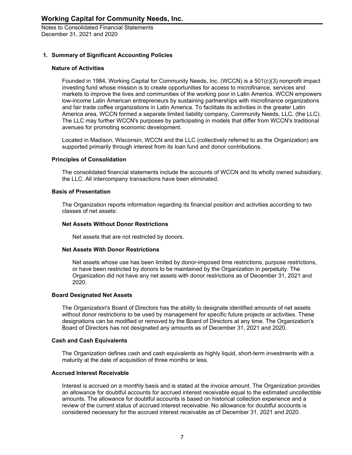#### **1. Summary of Significant Accounting Policies**

#### **Nature of Activities**

Founded in 1984, Working Capital for Community Needs, Inc. (WCCN) is a 501(c)(3) nonprofit impact investing fund whose mission is to create opportunities for access to microfinance, services and markets to improve the lives and communities of the working poor in Latin America. WCCN empowers low-income Latin American entrepreneurs by sustaining partnerships with microfinance organizations and fair trade coffee organizations in Latin America. To facilitate its activities in the greater Latin America area, WCCN formed a separate limited liability company, Community Needs, LLC, (the LLC). The LLC may further WCCN's purposes by participating in models that differ from WCCN's traditional avenues for promoting economic development.

Located in Madison, Wisconsin, WCCN and the LLC (collectively referred to as the Organization) are supported primarily through interest from its loan fund and donor contributions.

#### **Principles of Consolidation**

The consolidated financial statements include the accounts of WCCN and its wholly owned subsidiary, the LLC. All intercompany transactions have been eliminated.

#### **Basis of Presentation**

The Organization reports information regarding its financial position and activities according to two classes of net assets:

#### **Net Assets Without Donor Restrictions**

Net assets that are not restricted by donors.

#### **Net Assets With Donor Restrictions**

Net assets whose use has been limited by donor-imposed time restrictions, purpose restrictions, or have been restricted by donors to be maintained by the Organization in perpetuity. The Organization did not have any net assets with donor restrictions as of December 31, 2021 and 2020.

#### **Board Designated Net Assets**

The Organization's Board of Directors has the ability to designate identified amounts of net assets without donor restrictions to be used by management for specific future projects or activities. These designations can be modified or removed by the Board of Directors at any time. The Organization's Board of Directors has not designated any amounts as of December 31, 2021 and 2020.

#### **Cash and Cash Equivalents**

The Organization defines cash and cash equivalents as highly liquid, short-term investments with a maturity at the date of acquisition of three months or less.

#### **Accrued Interest Receivable**

Interest is accrued on a monthly basis and is stated at the invoice amount. The Organization provides an allowance for doubtful accounts for accrued interest receivable equal to the estimated uncollectible amounts. The allowance for doubtful accounts is based on historical collection experience and a review of the current status of accrued interest receivable. No allowance for doubtful accounts is considered necessary for the accrued interest receivable as of December 31, 2021 and 2020.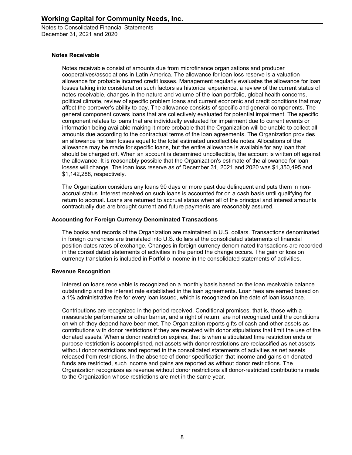#### **Notes Receivable**

Notes receivable consist of amounts due from microfinance organizations and producer cooperatives/associations in Latin America. The allowance for loan loss reserve is a valuation allowance for probable incurred credit losses. Management regularly evaluates the allowance for loan losses taking into consideration such factors as historical experience, a review of the current status of notes receivable, changes in the nature and volume of the loan portfolio, global health concerns, political climate, review of specific problem loans and current economic and credit conditions that may affect the borrower's ability to pay. The allowance consists of specific and general components. The general component covers loans that are collectively evaluated for potential impairment. The specific component relates to loans that are individually evaluated for impairment due to current events or information being available making it more probable that the Organization will be unable to collect all amounts due according to the contractual terms of the loan agreements. The Organization provides an allowance for loan losses equal to the total estimated uncollectible notes. Allocations of the allowance may be made for specific loans, but the entire allowance is available for any loan that should be charged off. When an account is determined uncollectible, the account is written off against the allowance. It is reasonably possible that the Organization's estimate of the allowance for loan losses will change. The loan loss reserve as of December 31, 2021 and 2020 was \$1,350,495 and \$1,142,288, respectively.

The Organization considers any loans 90 days or more past due delinquent and puts them in nonaccrual status. Interest received on such loans is accounted for on a cash basis until qualifying for return to accrual. Loans are returned to accrual status when all of the principal and interest amounts contractually due are brought current and future payments are reasonably assured.

#### **Accounting for Foreign Currency Denominated Transactions**

The books and records of the Organization are maintained in U.S. dollars. Transactions denominated in foreign currencies are translated into U.S. dollars at the consolidated statements of financial position dates rates of exchange. Changes in foreign currency denominated transactions are recorded in the consolidated statements of activities in the period the change occurs. The gain or loss on currency translation is included in Portfolio income in the consolidated statements of activities.

#### **Revenue Recognition**

Interest on loans receivable is recognized on a monthly basis based on the loan receivable balance outstanding and the interest rate established in the loan agreements. Loan fees are earned based on a 1% administrative fee for every loan issued, which is recognized on the date of loan issuance.

Contributions are recognized in the period received. Conditional promises, that is, those with a measurable performance or other barrier, and a right of return, are not recognized until the conditions on which they depend have been met. The Organization reports gifts of cash and other assets as contributions with donor restrictions if they are received with donor stipulations that limit the use of the donated assets. When a donor restriction expires, that is when a stipulated time restriction ends or purpose restriction is accomplished, net assets with donor restrictions are reclassified as net assets without donor restrictions and reported in the consolidated statements of activities as net assets released from restrictions. In the absence of donor specification that income and gains on donated funds are restricted, such income and gains are reported as without donor restrictions. The Organization recognizes as revenue without donor restrictions all donor-restricted contributions made to the Organization whose restrictions are met in the same year.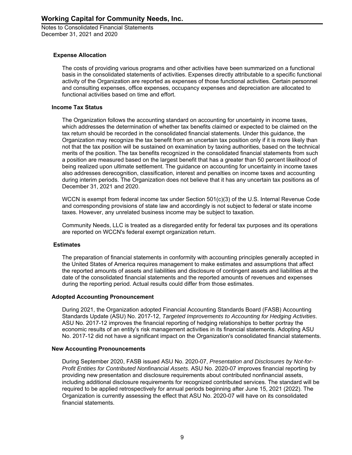#### **Expense Allocation**

The costs of providing various programs and other activities have been summarized on a functional basis in the consolidated statements of activities. Expenses directly attributable to a specific functional activity of the Organization are reported as expenses of those functional activities. Certain personnel and consulting expenses, office expenses, occupancy expenses and depreciation are allocated to functional activities based on time and effort.

#### **Income Tax Status**

The Organization follows the accounting standard on accounting for uncertainty in income taxes, which addresses the determination of whether tax benefits claimed or expected to be claimed on the tax return should be recorded in the consolidated financial statements. Under this guidance, the Organization may recognize the tax benefit from an uncertain tax position only if it is more likely than not that the tax position will be sustained on examination by taxing authorities, based on the technical merits of the position. The tax benefits recognized in the consolidated financial statements from such a position are measured based on the largest benefit that has a greater than 50 percent likelihood of being realized upon ultimate settlement. The guidance on accounting for uncertainty in income taxes also addresses derecognition, classification, interest and penalties on income taxes and accounting during interim periods. The Organization does not believe that it has any uncertain tax positions as of December 31, 2021 and 2020.

WCCN is exempt from federal income tax under Section 501(c)(3) of the U.S. Internal Revenue Code and corresponding provisions of state law and accordingly is not subject to federal or state income taxes. However, any unrelated business income may be subject to taxation.

Community Needs, LLC is treated as a disregarded entity for federal tax purposes and its operations are reported on WCCN's federal exempt organization return.

#### **Estimates**

The preparation of financial statements in conformity with accounting principles generally accepted in the United States of America requires management to make estimates and assumptions that affect the reported amounts of assets and liabilities and disclosure of contingent assets and liabilities at the date of the consolidated financial statements and the reported amounts of revenues and expenses during the reporting period. Actual results could differ from those estimates.

#### **Adopted Accounting Pronouncement**

During 2021, the Organization adopted Financial Accounting Standards Board (FASB) Accounting Standards Update (ASU) No. 2017-12, *Targeted Improvements to Accounting for Hedging Activities*. ASU No. 2017-12 improves the financial reporting of hedging relationships to better portray the economic results of an entity's risk management activities in its financial statements. Adopting ASU No. 2017-12 did not have a significant impact on the Organization's consolidated financial statements.

#### **New Accounting Pronouncements**

During September 2020, FASB issued ASU No. 2020-07, *Presentation and Disclosures by Not-for-Profit Entities for Contributed Nonfinancial Assets*. ASU No. 2020-07 improves financial reporting by providing new presentation and disclosure requirements about contributed nonfinancial assets, including additional disclosure requirements for recognized contributed services. The standard will be required to be applied retrospectively for annual periods beginning after June 15, 2021 (2022). The Organization is currently assessing the effect that ASU No. 2020-07 will have on its consolidated financial statements.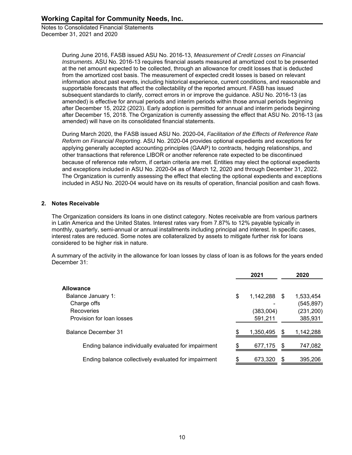> During June 2016, FASB issued ASU No. 2016-13, *Measurement of Credit Losses on Financial Instruments*. ASU No. 2016-13 requires financial assets measured at amortized cost to be presented at the net amount expected to be collected, through an allowance for credit losses that is deducted from the amortized cost basis. The measurement of expected credit losses is based on relevant information about past events, including historical experience, current conditions, and reasonable and supportable forecasts that affect the collectability of the reported amount. FASB has issued subsequent standards to clarify, correct errors in or improve the guidance. ASU No. 2016-13 (as amended) is effective for annual periods and interim periods within those annual periods beginning after December 15, 2022 (2023). Early adoption is permitted for annual and interim periods beginning after December 15, 2018. The Organization is currently assessing the effect that ASU No. 2016-13 (as amended) will have on its consolidated financial statements.

> During March 2020, the FASB issued ASU No. 2020-04, *Facilitation of the Effects of Reference Rate Reform on Financial Reporting*. ASU No. 2020-04 provides optional expedients and exceptions for applying generally accepted accounting principles (GAAP) to contracts, hedging relationships, and other transactions that reference LIBOR or another reference rate expected to be discontinued because of reference rate reform, if certain criteria are met. Entities may elect the optional expedients and exceptions included in ASU No. 2020-04 as of March 12, 2020 and through December 31, 2022. The Organization is currently assessing the effect that electing the optional expedients and exceptions included in ASU No. 2020-04 would have on its results of operation, financial position and cash flows.

#### **2. Notes Receivable**

The Organization considers its loans in one distinct category. Notes receivable are from various partners in Latin America and the United States. Interest rates vary from 7.87% to 12% payable typically in monthly, quarterly, semi-annual or annual installments including principal and interest. In specific cases, interest rates are reduced. Some notes are collateralized by assets to mitigate further risk for loans considered to be higher risk in nature.

A summary of the activity in the allowance for loan losses by class of loan is as follows for the years ended December 31:

|                                                      |    | 2021         |     | 2020       |
|------------------------------------------------------|----|--------------|-----|------------|
| <b>Allowance</b>                                     |    |              |     |            |
| Balance January 1:                                   | \$ | 1,142,288 \$ |     | 1.533.454  |
| Charge offs                                          |    |              |     | (545, 897) |
| Recoveries                                           |    | (383,004)    |     | (231, 200) |
| Provision for loan losses                            |    | 591,211      |     | 385,931    |
| Balance December 31                                  |    | 1,350,495    |     | 1,142,288  |
| Ending balance individually evaluated for impairment | £. | 677,175      | \$. | 747,082    |
| Ending balance collectively evaluated for impairment |    | 673,320      |     | 395,206    |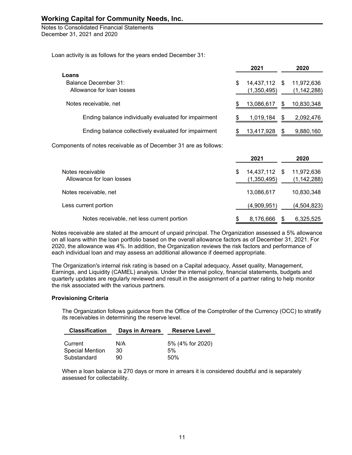Loan activity is as follows for the years ended December 31:

|     | 2021        |     | 2020          |
|-----|-------------|-----|---------------|
|     |             |     |               |
| S   |             |     | 11,972,636    |
|     | (1,350,495) |     | (1, 142, 288) |
| \$. | 13,086,617  | \$. | 10,830,348    |
| £.  | 1,019,184   | \$. | 2,092,476     |
| £.  | 13,417,928  | \$. | 9,880,160     |
|     |             |     | 14,437,112 \$ |

Components of notes receivable as of December 31 are as follows:

|                                               |   | 2021                         | 2020                        |
|-----------------------------------------------|---|------------------------------|-----------------------------|
| Notes receivable<br>Allowance for loan losses | S | 14,437,112 \$<br>(1,350,495) | 11,972,636<br>(1, 142, 288) |
| Notes receivable, net                         |   | 13,086,617                   | 10,830,348                  |
| Less current portion                          |   | (4,909,951)                  | (4,504,823)                 |
| Notes receivable, net less current portion    |   | 8,176,666                    | 6,325,525                   |

Notes receivable are stated at the amount of unpaid principal. The Organization assessed a 5% allowance on all loans within the loan portfolio based on the overall allowance factors as of December 31, 2021. For 2020, the allowance was 4%. In addition, the Organization reviews the risk factors and performance of each individual loan and may assess an additional allowance if deemed appropriate.

The Organization's internal risk rating is based on a Capital adequacy, Asset quality, Management, Earnings, and Liquidity (CAMEL) analysis. Under the internal policy, financial statements, budgets and quarterly updates are regularly reviewed and result in the assignment of a partner rating to help monitor the risk associated with the various partners.

#### **Provisioning Criteria**

The Organization follows guidance from the Office of the Comptroller of the Currency (OCC) to stratify its receivables in determining the reserve level.

| <b>Classification</b>  | Days in Arrears | <b>Reserve Level</b> |
|------------------------|-----------------|----------------------|
| Current                | N/A             | 5% (4% for 2020)     |
| <b>Special Mention</b> | 30              | 5%                   |
| Substandard            | 90.             | 50%                  |

When a loan balance is 270 days or more in arrears it is considered doubtful and is separately assessed for collectability.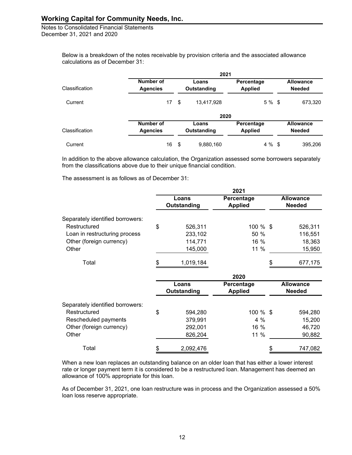Notes to Consolidated Financial Statements December 31, 2021 and 2020

> Below is a breakdown of the notes receivable by provision criteria and the associated allowance calculations as of December 31:

|                |                              | 2021                 |                              |                                   |
|----------------|------------------------------|----------------------|------------------------------|-----------------------------------|
| Classification | Number of<br><b>Agencies</b> | Loans<br>Outstanding | Percentage<br><b>Applied</b> | <b>Allowance</b><br><b>Needed</b> |
| Current        | 17                           | \$<br>13,417,928     | 5 % \$                       | 673,320                           |
|                |                              | 2020                 |                              |                                   |
| Classification | Number of<br><b>Agencies</b> | Loans<br>Outstanding | Percentage<br><b>Applied</b> | <b>Allowance</b><br><b>Needed</b> |
| Current        | 16                           | \$<br>9,880,160      | 4 % \$                       | 395,206                           |

In addition to the above allowance calculation, the Organization assessed some borrowers separately from the classifications above due to their unique financial condition.

The assessment is as follows as of December 31:

|                                  |                      | 2021                         |                                   |
|----------------------------------|----------------------|------------------------------|-----------------------------------|
|                                  | Loans<br>Outstanding | Percentage<br><b>Applied</b> | <b>Allowance</b><br><b>Needed</b> |
| Separately identified borrowers: |                      |                              |                                   |
| Restructured                     | \$<br>526,311        | 100 % \$                     | 526,311                           |
| Loan in restructuring process    | 233,102              | 50 %                         | 116,551                           |
| Other (foreign currency)         | 114,771              | 16 %                         | 18,363                            |
| Other                            | 145,000              | 11 %                         | 15,950                            |
| Total                            | 1,019,184            |                              | 677,175                           |
|                                  |                      | 2020                         |                                   |
|                                  | Loans<br>Outstanding | Percentage<br><b>Applied</b> | <b>Allowance</b><br><b>Needed</b> |
| Separately identified borrowers: |                      |                              |                                   |
| Restructured                     | \$<br>594,280        | 100 % \$                     | 594,280                           |
| Rescheduled payments             | 379,991              | 4 %                          | 15,200                            |
| Other (foreign currency)         | 292,001              | 16 %                         | 46,720                            |
| Other                            | 826,204              | 11 %                         | 90,882                            |
| Total                            | \$<br>2,092,476      |                              | \$<br>747,082                     |

When a new loan replaces an outstanding balance on an older loan that has either a lower interest rate or longer payment term it is considered to be a restructured loan. Management has deemed an allowance of 100% appropriate for this loan.

As of December 31, 2021, one loan restructure was in process and the Organization assessed a 50% loan loss reserve appropriate.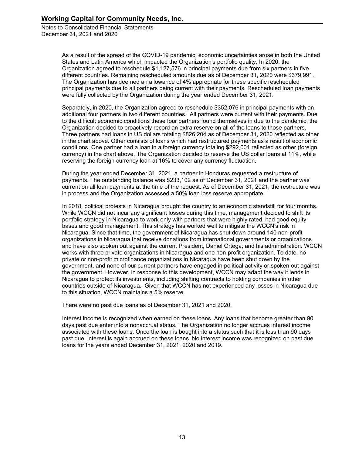> As a result of the spread of the COVID-19 pandemic, economic uncertainties arose in both the United States and Latin America which impacted the Organization's portfolio quality. In 2020, the Organization agreed to reschedule \$1,127,576 in principal payments due from six partners in five different countries. Remaining rescheduled amounts due as of December 31, 2020 were \$379,991. The Organization has deemed an allowance of 4% appropriate for these specific rescheduled principal payments due to all partners being current with their payments. Rescheduled loan payments were fully collected by the Organization during the year ended December 31, 2021.

> Separately, in 2020, the Organization agreed to reschedule \$352,076 in principal payments with an additional four partners in two different countries. All partners were current with their payments. Due to the difficult economic conditions these four partners found themselves in due to the pandemic, the Organization decided to proactively record an extra reserve on all of the loans to those partners. Three partners had loans in US dollars totaling \$826,204 as of December 31, 2020 reflected as other in the chart above. Other consists of loans which had restructured payments as a result of economic conditions. One partner had a loan in a foreign currency totaling \$292,001 reflected as other (foreign currency) in the chart above. The Organization decided to reserve the US dollar loans at 11%, while reserving the foreign currency loan at 16% to cover any currency fluctuation.

> During the year ended December 31, 2021, a partner in Honduras requested a restructure of payments. The outstanding balance was \$233,102 as of December 31, 2021 and the partner was current on all loan payments at the time of the request. As of December 31, 2021, the restructure was in process and the Organization assessed a 50% loan loss reserve appropriate.

> In 2018, political protests in Nicaragua brought the country to an economic standstill for four months. While WCCN did not incur any significant losses during this time, management decided to shift its portfolio strategy in Nicaragua to work only with partners that were highly rated, had good equity bases and good management. This strategy has worked well to mitigate the WCCN's risk in Nicaragua. Since that time, the government of Nicaragua has shut down around 140 non-profit organizations in Nicaragua that receive donations from international governments or organizations and have also spoken out against the current President, Daniel Ortega, and his administration. WCCN works with three private organizations in Nicaragua and one non-profit organization. To date, no private or non-profit microfinance organizations in Nicaragua have been shut down by the government, and none of our current partners have engaged in political activity or spoken out against the government. However, in response to this development, WCCN may adapt the way it lends in Nicaragua to protect its investments, including shifting contracts to holding companies in other countries outside of Nicaragua. Given that WCCN has not experienced any losses in Nicaragua due to this situation, WCCN maintains a 5% reserve.

There were no past due loans as of December 31, 2021 and 2020.

Interest income is recognized when earned on these loans. Any loans that become greater than 90 days past due enter into a nonaccrual status. The Organization no longer accrues interest income associated with these loans. Once the loan is bought into a status such that it is less than 90 days past due, interest is again accrued on these loans. No interest income was recognized on past due loans for the years ended December 31, 2021, 2020 and 2019.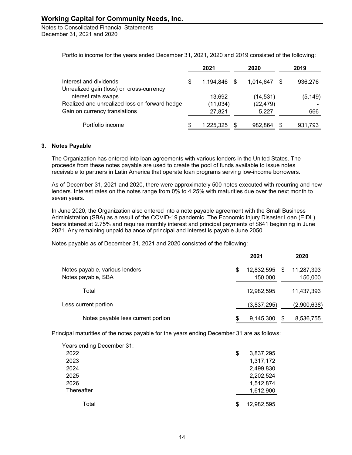Notes to Consolidated Financial Statements December 31, 2021 and 2020

Portfolio income for the years ended December 31, 2021, 2020 and 2019 consisted of the following:

|                                               |    | 2021         |   | 2020      | 2019 |          |  |
|-----------------------------------------------|----|--------------|---|-----------|------|----------|--|
| Interest and dividends                        | \$ | 1.194.846 \$ |   | 1,014,647 |      | 936,276  |  |
| Unrealized gain (loss) on cross-currency      |    |              |   |           |      |          |  |
| interest rate swaps                           |    | 13,692       |   | (14,531)  |      | (5, 149) |  |
| Realized and unrealized loss on forward hedge |    | (11, 034)    |   | (22, 479) |      |          |  |
| Gain on currency translations                 |    | 27,821       |   | 5,227     |      | 666      |  |
| Portfolio income                              | S  | 1,225,325    | S | 982.864   |      | 931,793  |  |

#### **3. Notes Payable**

The Organization has entered into loan agreements with various lenders in the United States. The proceeds from these notes payable are used to create the pool of funds available to issue notes receivable to partners in Latin America that operate loan programs serving low-income borrowers.

As of December 31, 2021 and 2020, there were approximately 500 notes executed with recurring and new lenders. Interest rates on the notes range from 0% to 4.25% with maturities due over the next month to seven years.

In June 2020, the Organization also entered into a note payable agreement with the Small Business Administration (SBA) as a result of the COVID-19 pandemic. The Economic Injury Disaster Loan (EIDL) bears interest at 2.75% and requires monthly interest and principal payments of \$641 beginning in June 2021. Any remaining unpaid balance of principal and interest is payable June 2050.

Notes payable as of December 31, 2021 and 2020 consisted of the following:

|                                                      |    |                       | 2020 |                       |
|------------------------------------------------------|----|-----------------------|------|-----------------------|
| Notes payable, various lenders<br>Notes payable, SBA | \$ | 12,832,595<br>150,000 | S    | 11,287,393<br>150,000 |
| Total                                                |    | 12,982,595            |      | 11,437,393            |
| Less current portion                                 |    | (3,837,295)           |      | (2,900,638)           |
| Notes payable less current portion                   | S  | 9,145,300             |      | 8,536,755             |

Principal maturities of the notes payable for the years ending December 31 are as follows:

| Years ending December 31: |                  |
|---------------------------|------------------|
| 2022                      | \$<br>3,837,295  |
| 2023                      | 1,317,172        |
| 2024                      | 2,499,830        |
| 2025                      | 2,202,524        |
| 2026                      | 1,512,874        |
| Thereafter                | 1,612,900        |
|                           |                  |
| Total                     | \$<br>12,982,595 |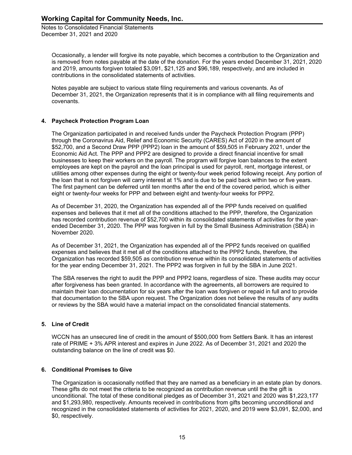Occasionally, a lender will forgive its note payable, which becomes a contribution to the Organization and is removed from notes payable at the date of the donation. For the years ended December 31, 2021, 2020 and 2019, amounts forgiven totaled \$3,091, \$21,125 and \$96,189, respectively, and are included in contributions in the consolidated statements of activities.

Notes payable are subject to various state filing requirements and various covenants. As of December 31, 2021, the Organization represents that it is in compliance with all filing requirements and covenants.

#### **4. Paycheck Protection Program Loan**

The Organization participated in and received funds under the Paycheck Protection Program (PPP) through the Coronavirus Aid, Relief and Economic Security (CARES) Act of 2020 in the amount of \$52,700, and a Second Draw PPP (PPP2) loan in the amount of \$59,505 in February 2021, under the Economic Aid Act. The PPP and PPP2 are designed to provide a direct financial incentive for small businesses to keep their workers on the payroll. The program will forgive loan balances to the extent employees are kept on the payroll and the loan principal is used for payroll, rent, mortgage interest, or utilities among other expenses during the eight or twenty-four week period following receipt. Any portion of the loan that is not forgiven will carry interest at 1% and is due to be paid back within two or five years. The first payment can be deferred until ten months after the end of the covered period, which is either eight or twenty-four weeks for PPP and between eight and twenty-four weeks for PPP2.

As of December 31, 2020, the Organization has expended all of the PPP funds received on qualified expenses and believes that it met all of the conditions attached to the PPP, therefore, the Organization has recorded contribution revenue of \$52,700 within its consolidated statements of activities for the yearended December 31, 2020. The PPP was forgiven in full by the Small Business Administration (SBA) in November 2020.

As of December 31, 2021, the Organization has expended all of the PPP2 funds received on qualified expenses and believes that it met all of the conditions attached to the PPP2 funds, therefore, the Organization has recorded \$59,505 as contribution revenue within its consolidated statements of activities for the year ending December 31, 2021. The PPP2 was forgiven in full by the SBA in June 2021.

The SBA reserves the right to audit the PPP and PPP2 loans, regardless of size. These audits may occur after forgiveness has been granted. In accordance with the agreements, all borrowers are required to maintain their loan documentation for six years after the loan was forgiven or repaid in full and to provide that documentation to the SBA upon request. The Organization does not believe the results of any audits or reviews by the SBA would have a material impact on the consolidated financial statements.

#### **5. Line of Credit**

WCCN has an unsecured line of credit in the amount of \$500,000 from Settlers Bank. It has an interest rate of PRIME + 3% APR interest and expires in June 2022. As of December 31, 2021 and 2020 the outstanding balance on the line of credit was \$0.

#### **6. Conditional Promises to Give**

The Organization is occasionally notified that they are named as a beneficiary in an estate plan by donors. These gifts do not meet the criteria to be recognized as contribution revenue until the the gift is unconditional. The total of these conditional pledges as of December 31, 2021 and 2020 was \$1,223,177 and \$1,293,980, respectively. Amounts received in contributions from gifts becoming unconditional and recognized in the consolidated statements of activities for 2021, 2020, and 2019 were \$3,091, \$2,000, and \$0, respectively.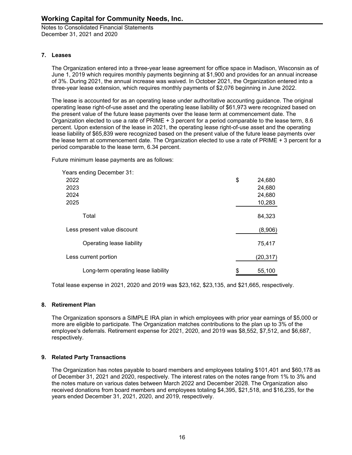#### **7. Leases**

The Organization entered into a three-year lease agreement for office space in Madison, Wisconsin as of June 1, 2019 which requires monthly payments beginning at \$1,900 and provides for an annual increase of 3%. During 2021, the annual increase was waived. In October 2021, the Organization entered into a three-year lease extension, which requires monthly payments of \$2,076 beginning in June 2022.

The lease is accounted for as an operating lease under authoritative accounting guidance. The original operating lease right-of-use asset and the operating lease liability of \$61,973 were recognized based on the present value of the future lease payments over the lease term at commencement date. The Organization elected to use a rate of PRIME + 3 percent for a period comparable to the lease term, 8.6 percent. Upon extension of the lease in 2021, the operating lease right-of-use asset and the operating lease liability of \$65,839 were recognized based on the present value of the future lease payments over the lease term at commencement date. The Organization elected to use a rate of PRIME + 3 percent for a period comparable to the lease term, 6.34 percent.

Future minimum lease payments are as follows:

| Years ending December 31:           |              |
|-------------------------------------|--------------|
| 2022                                | \$<br>24,680 |
| 2023                                | 24,680       |
| 2024                                | 24,680       |
| 2025                                | 10,283       |
| Total                               | 84,323       |
| Less present value discount         | (8,906)      |
| Operating lease liability           | 75,417       |
| Less current portion                | (20, 317)    |
| Long-term operating lease liability | \$<br>55,100 |

Total lease expense in 2021, 2020 and 2019 was \$23,162, \$23,135, and \$21,665, respectively.

#### **8. Retirement Plan**

The Organization sponsors a SIMPLE IRA plan in which employees with prior year earnings of \$5,000 or more are eligible to participate. The Organization matches contributions to the plan up to 3% of the employee's deferrals. Retirement expense for 2021, 2020, and 2019 was \$8,552, \$7,512, and \$6,687, respectively.

#### **9. Related Party Transactions**

The Organization has notes payable to board members and employees totaling \$101,401 and \$60,178 as of December 31, 2021 and 2020, respectively. The interest rates on the notes range from 1% to 3% and the notes mature on various dates between March 2022 and December 2028. The Organization also received donations from board members and employees totaling \$4,395, \$21,518, and \$16,235, for the years ended December 31, 2021, 2020, and 2019, respectively.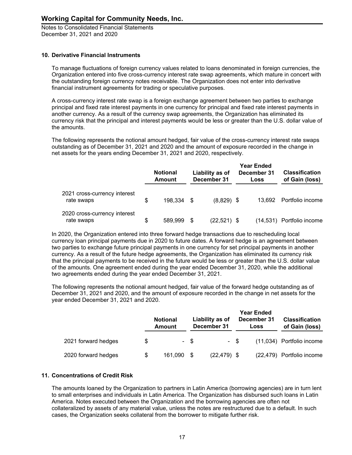#### **10. Derivative Financial Instruments**

To manage fluctuations of foreign currency values related to loans denominated in foreign currencies, the Organization entered into five cross-currency interest rate swap agreements, which mature in concert with the outstanding foreign currency notes receivable. The Organization does not enter into derivative financial instrument agreements for trading or speculative purposes.

A cross-currency interest rate swap is a foreign exchange agreement between two parties to exchange principal and fixed rate interest payments in one currency for principal and fixed rate interest payments in another currency. As a result of the currency swap agreements, the Organization has eliminated its currency risk that the principal and interest payments would be less or greater than the U.S. dollar value of the amounts.

The following represents the notional amount hedged, fair value of the cross-currency interest rate swaps outstanding as of December 31, 2021 and 2020 and the amount of exposure recorded in the change in net assets for the years ending December 31, 2021 and 2020, respectively.

|                                            |    | <b>Notional</b><br><b>Amount</b> | Liability as of<br>December 31 | <b>Year Ended</b><br>December 31<br>Loss | <b>Classification</b><br>of Gain (loss) |  |
|--------------------------------------------|----|----------------------------------|--------------------------------|------------------------------------------|-----------------------------------------|--|
| 2021 cross-currency interest<br>rate swaps |    | 198,334 \$                       | $(8,829)$ \$                   | 13.692                                   | Portfolio income                        |  |
| 2020 cross-currency interest<br>rate swaps | \$ | 589,999                          | (22,521) \$                    |                                          | (14,531) Portfolio income               |  |

In 2020, the Organization entered into three forward hedge transactions due to rescheduling local currency loan principal payments due in 2020 to future dates. A forward hedge is an agreement between two parties to exchange future principal payments in one currency for set principal payments in another currency. As a result of the future hedge agreements, the Organization has eliminated its currency risk that the principal payments to be received in the future would be less or greater than the U.S. dollar value of the amounts. One agreement ended during the year ended December 31, 2020, while the additional two agreements ended during the year ended December 31, 2021.

The following represents the notional amount hedged, fair value of the forward hedge outstanding as of December 31, 2021 and 2020, and the amount of exposure recorded in the change in net assets for the year ended December 31, 2021 and 2020.

|                     |    | <b>Notional</b><br>Amount |      | Liability as of<br>December 31 |      | <b>Year Ended</b><br>December 31<br>Loss | <b>Classification</b><br>of Gain (loss) |  |
|---------------------|----|---------------------------|------|--------------------------------|------|------------------------------------------|-----------------------------------------|--|
| 2021 forward hedges | S  |                           | - \$ |                                | - \$ |                                          | (11,034) Portfolio income               |  |
| 2020 forward hedges | \$ | 161.090 \$                |      | $(22, 479)$ \$                 |      |                                          | (22,479) Portfolio income               |  |

#### **11. Concentrations of Credit Risk**

The amounts loaned by the Organization to partners in Latin America (borrowing agencies) are in turn lent to small enterprises and individuals in Latin America. The Organization has disbursed such loans in Latin America. Notes executed between the Organization and the borrowing agencies are often not collateralized by assets of any material value, unless the notes are restructured due to a default. In such cases, the Organization seeks collateral from the borrower to mitigate further risk.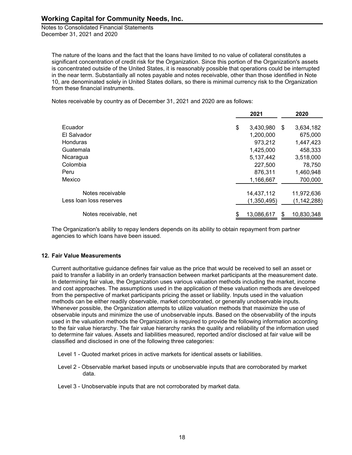The nature of the loans and the fact that the loans have limited to no value of collateral constitutes a significant concentration of credit risk for the Organization. Since this portion of the Organization's assets is concentrated outside of the United States, it is reasonably possible that operations could be interrupted in the near term. Substantially all notes payable and notes receivable, other than those identified in Note 10, are denominated solely in United States dollars, so there is minimal currency risk to the Organization from these financial instruments.

Notes receivable by country as of December 31, 2021 and 2020 are as follows:

|                         | 2021             |     | 2020          |
|-------------------------|------------------|-----|---------------|
| Ecuador                 | \$<br>3,430,980  | \$. | 3,634,182     |
| El Salvador             | 1,200,000        |     | 675,000       |
| <b>Honduras</b>         | 973,212          |     | 1,447,423     |
| Guatemala               | 1,425,000        |     | 458,333       |
| Nicaragua               | 5,137,442        |     | 3,518,000     |
| Colombia                | 227,500          |     | 78,750        |
| Peru                    | 876,311          |     | 1,460,948     |
| Mexico                  | 1,166,667        |     | 700,000       |
| Notes receivable        | 14,437,112       |     | 11,972,636    |
| Less loan loss reserves | (1,350,495)      |     | (1, 142, 288) |
| Notes receivable, net   | \$<br>13,086,617 |     | 10,830,348    |

The Organization's ability to repay lenders depends on its ability to obtain repayment from partner agencies to which loans have been issued.

#### **12. Fair Value Measurements**

Current authoritative guidance defines fair value as the price that would be received to sell an asset or paid to transfer a liability in an orderly transaction between market participants at the measurement date. In determining fair value, the Organization uses various valuation methods including the market, income and cost approaches. The assumptions used in the application of these valuation methods are developed from the perspective of market participants pricing the asset or liability. Inputs used in the valuation methods can be either readily observable, market corroborated, or generally unobservable inputs. Whenever possible, the Organization attempts to utilize valuation methods that maximize the use of observable inputs and minimize the use of unobservable inputs. Based on the observability of the inputs used in the valuation methods the Organization is required to provide the following information according to the fair value hierarchy. The fair value hierarchy ranks the quality and reliability of the information used to determine fair values. Assets and liabilities measured, reported and/or disclosed at fair value will be classified and disclosed in one of the following three categories:

- Level 1 Quoted market prices in active markets for identical assets or liabilities.
- Level 2 Observable market based inputs or unobservable inputs that are corroborated by market data.
- Level 3 Unobservable inputs that are not corroborated by market data.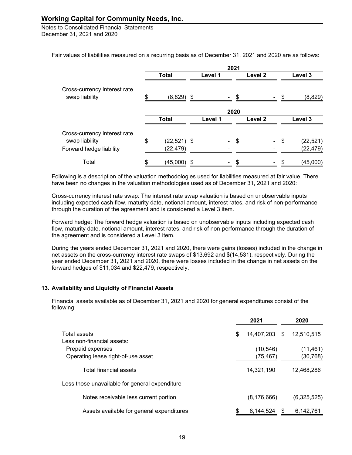Notes to Consolidated Financial Statements December 31, 2021 and 2020

Fair values of liabilities measured on a recurring basis as of December 31, 2021 and 2020 are as follows:

|                                                | 2021 |               |    |         |  |      |                    |  |      |           |  |
|------------------------------------------------|------|---------------|----|---------|--|------|--------------------|--|------|-----------|--|
|                                                |      | <b>Total</b>  |    | Level 1 |  |      | Level <sub>2</sub> |  |      | Level 3   |  |
| Cross-currency interest rate<br>swap liability | \$   | (8,829)       | \$ |         |  | \$   |                    |  |      | (8,829)   |  |
|                                                |      |               |    |         |  | 2020 |                    |  |      |           |  |
|                                                |      | <b>Total</b>  |    | Level 1 |  |      | Level <sub>2</sub> |  |      | Level 3   |  |
| Cross-currency interest rate                   |      |               |    |         |  |      |                    |  |      |           |  |
| swap liability                                 | \$   | $(22,521)$ \$ |    |         |  | - \$ |                    |  | - \$ | (22, 521) |  |
| Forward hedge liability                        |      | (22, 479)     |    |         |  |      |                    |  |      | (22, 479) |  |
| Total                                          | \$   | $(45,000)$ \$ |    |         |  | \$   |                    |  | - \$ | (45,000)  |  |

Following is a description of the valuation methodologies used for liabilities measured at fair value. There have been no changes in the valuation methodologies used as of December 31, 2021 and 2020:

Cross-currency interest rate swap: The interest rate swap valuation is based on unobservable inputs including expected cash flow, maturity date, notional amount, interest rates, and risk of non-performance through the duration of the agreement and is considered a Level 3 item.

Forward hedge: The forward hedge valuation is based on unobservable inputs including expected cash flow, maturity date, notional amount, interest rates, and risk of non-performance through the duration of the agreement and is considered a Level 3 item.

During the years ended December 31, 2021 and 2020, there were gains (losses) included in the change in net assets on the cross-currency interest rate swaps of \$13,692 and \$(14,531), respectively. During the year ended December 31, 2021 and 2020, there were losses included in the change in net assets on the forward hedges of \$11,034 and \$22,479, respectively.

#### **13. Availability and Liquidity of Financial Assets**

Financial assets available as of December 31, 2021 and 2020 for general expenditures consist of the following:

|                                                | 2021             |     | 2020        |
|------------------------------------------------|------------------|-----|-------------|
| Total assets                                   | \$<br>14,407,203 | \$. | 12,510,515  |
| Less non-financial assets:                     |                  |     |             |
| Prepaid expenses                               | (10, 546)        |     | (11, 461)   |
| Operating lease right-of-use asset             | (75, 467)        |     | (30, 768)   |
| Total financial assets                         | 14,321,190       |     | 12,468,286  |
| Less those unavailable for general expenditure |                  |     |             |
| Notes receivable less current portion          | (8,176,666)      |     | (6,325,525) |
| Assets available for general expenditures      | \$<br>6.144.524  |     | 6.142.761   |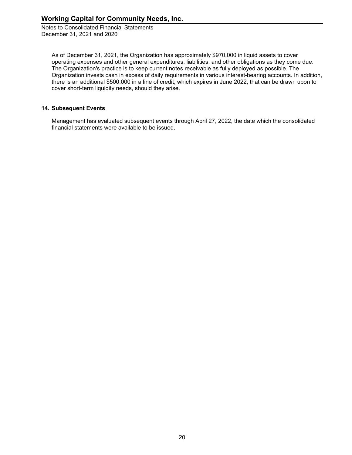As of December 31, 2021, the Organization has approximately \$970,000 in liquid assets to cover operating expenses and other general expenditures, liabilities, and other obligations as they come due. The Organization's practice is to keep current notes receivable as fully deployed as possible. The Organization invests cash in excess of daily requirements in various interest-bearing accounts. In addition, there is an additional \$500,000 in a line of credit, which expires in June 2022, that can be drawn upon to cover short-term liquidity needs, should they arise.

#### **14. Subsequent Events**

Management has evaluated subsequent events through April 27, 2022, the date which the consolidated financial statements were available to be issued.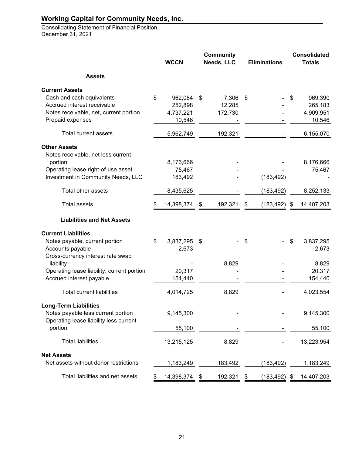Consolidating Statement of Financial Position December 31, 2021

|                                                           | <b>WCCN</b>      | <b>Community</b><br>Needs, LLC |         | <b>Eliminations</b> |                 | <b>Consolidated</b><br><b>Totals</b> |            |
|-----------------------------------------------------------|------------------|--------------------------------|---------|---------------------|-----------------|--------------------------------------|------------|
| <b>Assets</b>                                             |                  |                                |         |                     |                 |                                      |            |
| <b>Current Assets</b>                                     |                  |                                |         |                     |                 |                                      |            |
| Cash and cash equivalents                                 | \$<br>962,084    | \$                             | 7,306   | \$                  |                 | S                                    | 969,390    |
| Accrued interest receivable                               | 252,898          |                                | 12,285  |                     |                 |                                      | 265,183    |
| Notes receivable, net, current portion                    | 4,737,221        |                                | 172,730 |                     |                 |                                      | 4,909,951  |
| Prepaid expenses                                          | 10,546           |                                |         |                     |                 |                                      | 10,546     |
| <b>Total current assets</b>                               | 5,962,749        |                                | 192,321 |                     |                 |                                      | 6,155,070  |
| <b>Other Assets</b><br>Notes receivable, net less current |                  |                                |         |                     |                 |                                      |            |
| portion                                                   | 8,176,666        |                                |         |                     |                 |                                      | 8,176,666  |
| Operating lease right-of-use asset                        | 75,467           |                                |         |                     |                 |                                      | 75,467     |
| Investment in Community Needs, LLC                        | 183,492          |                                |         |                     | (183, 492)      |                                      |            |
| Total other assets                                        | 8,435,625        |                                |         |                     | (183,492)       |                                      | 8,252,133  |
| <b>Total assets</b>                                       | 14,398,374       | \$                             | 192,321 | \$                  | (183, 492)      | \$                                   | 14,407,203 |
| <b>Liabilities and Net Assets</b>                         |                  |                                |         |                     |                 |                                      |            |
| <b>Current Liabilities</b>                                |                  |                                |         |                     |                 |                                      |            |
| Notes payable, current portion                            | \$<br>3,837,295  | \$                             |         | \$                  |                 | \$                                   | 3,837,295  |
| Accounts payable                                          | 2,673            |                                |         |                     |                 |                                      | 2,673      |
| Cross-currency interest rate swap                         |                  |                                |         |                     |                 |                                      |            |
| liability                                                 |                  |                                | 8,829   |                     |                 |                                      | 8,829      |
| Operating lease liability, current portion                | 20,317           |                                |         |                     |                 |                                      | 20,317     |
| Accrued interest payable                                  | 154,440          |                                |         |                     |                 |                                      | 154,440    |
| <b>Total current liabilities</b>                          | 4,014,725        |                                | 8,829   |                     |                 |                                      | 4,023,554  |
| <b>Long-Term Liabilities</b>                              |                  |                                |         |                     |                 |                                      |            |
| Notes payable less current portion                        | 9,145,300        |                                |         |                     |                 |                                      | 9,145,300  |
| Operating lease liability less current                    |                  |                                |         |                     |                 |                                      |            |
| portion                                                   | 55,100           |                                |         |                     |                 |                                      | 55,100     |
| <b>Total liabilities</b>                                  | 13,215,125       |                                | 8,829   |                     |                 |                                      | 13,223,954 |
| <b>Net Assets</b>                                         |                  |                                |         |                     |                 |                                      |            |
| Net assets without donor restrictions                     | 1,183,249        |                                | 183,492 |                     | (183, 492)      |                                      | 1,183,249  |
| Total liabilities and net assets                          | \$<br>14,398,374 | \$                             | 192,321 | \$                  | $(183, 492)$ \$ |                                      | 14,407,203 |